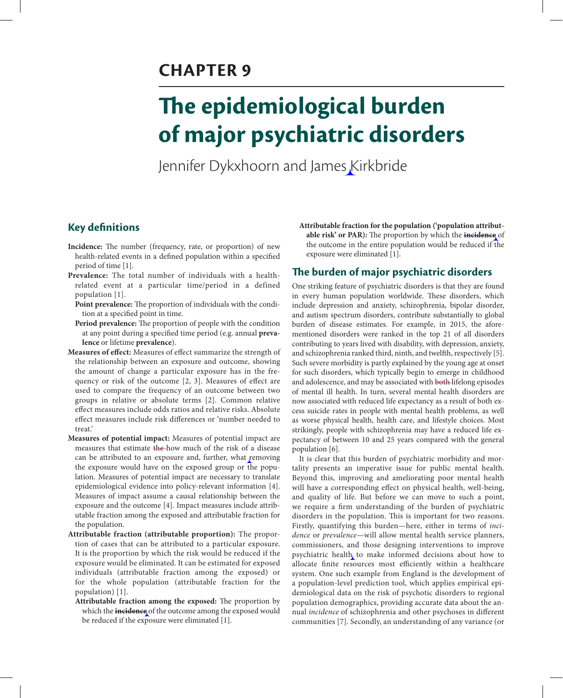# **CHAPTER 9**

# **The epidemiological burden of major psychiatric disorders**

Jennifer Dykxhoorn and James Kirkbride

# **Key definitions**

- **Incidence:** The number (frequency, rate, or proportion) of new health-related events in a defined population within a specified period of time [1].
- **Prevalence:** The total number of individuals with a healthrelated event at a particular time/period in a defined population [1].
	- **Point prevalence:** The proportion of individuals with the condition at a specified point in time.
	- **Period prevalence:** The proportion of people with the condition at any point during a specified time period (e.g. annual **prevalence** or lifetime **prevalence**).
- **Measures of effect:** Measures of effect summarize the strength of the relationship between an exposure and outcome, showing the amount of change a particular exposure has in the frequency or risk of the outcome [2, 3]. Measures of effect are used to compare the frequency of an outcome between two groups in relative or absolute terms [2]. Common relative effect measures include odds ratios and relative risks. Absolute effect measures include risk differences or 'number needed to treat.'
- **Measures of potential impact:** Measures of potential impact are measures that estimate the-how much of the risk of a disease can be attributed to an exposure and, further, what removing the exposure would have on the exposed group or the population. Measures of potential impact are necessary to translate epidemiological evidence into policy-relevant information [4]. Measures of impact assume a causal relationship between the exposure and the outcome [4]. Impact measures include attributable fraction among the exposed and attributable fraction for the population.
- **Attributable fraction (attributable proportion):** The proportion of cases that can be attributed to a particular exposure. It is the proportion by which the risk would be reduced if the exposure would be eliminated. It can be estimated for exposed individuals (attributable fraction among the exposed) or for the whole population (attributable fraction for the population) [1].
	- **Attributable fraction among the exposed:** The proportion by which the **incidence** of the outcome among the exposed would be reduced if the exposure were eliminated [1].

**Attributable fraction for the population ('population attributable risk' or PAR):** The proportion by which the **incidence** of the outcome in the entire population would be reduced if the exposure were eliminated [1].

## **The burden of major psychiatric disorders**

One striking feature of psychiatric disorders is that they are found in every human population worldwide. These disorders, which include depression and anxiety, schizophrenia, bipolar disorder, and autism spectrum disorders, contribute substantially to global burden of disease estimates. For example, in 2015, the aforementioned disorders were ranked in the top 21 of all disorders contributing to years lived with disability, with depression, anxiety, and schizophrenia ranked third, ninth, and twelfth, respectively [5]. Such severe morbidity is partly explained by the young age at onset for such disorders, which typically begin to emerge in childhood and adolescence, and may be associated with both lifelong episodes of mental ill health. In turn, several mental health disorders are now associated with reduced life expectancy as a result of both excess suicide rates in people with mental health problems, as well as worse physical health, health care, and lifestyle choices. Most strikingly, people with schizophrenia may have a reduced life expectancy of between 10 and 25 years compared with the general population [6].

It is clear that this burden of psychiatric morbidity and mortality presents an imperative issue for public mental health. Beyond this, improving and ameliorating poor mental health will have a corresponding effect on physical health, well-being, and quality of life. But before we can move to such a point, we require a firm understanding of the burden of psychiatric disorders in the population. This is important for two reasons. Firstly, quantifying this burden—here, either in terms of *incidence* or *prevalence*—will allow mental health service planners, commissioners, and those designing interventions to improve psychiatric health to make informed decisions about how to allocate finite resources most efficiently within a healthcare system. One such example from England is the development of a population-level prediction tool, which applies empirical epidemiological data on the risk of psychotic disorders to regional population demographics, providing accurate data about the annual *incidence* of schizophrenia and other psychoses in different communities [7]. Secondly, an understanding of any variance (or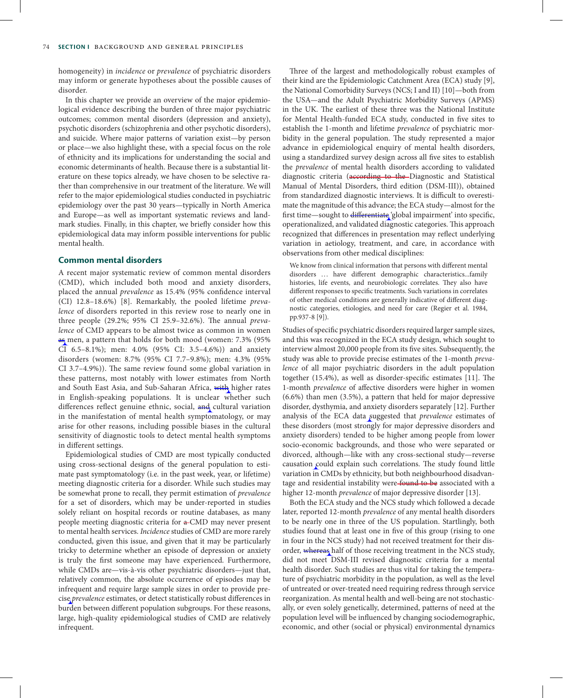homogeneity) in *incidence* or *prevalence* of psychiatric disorders may inform or generate hypotheses about the possible causes of disorder.

In this chapter we provide an overview of the major epidemiological evidence describing the burden of three major psychiatric outcomes; common mental disorders (depression and anxiety), psychotic disorders (schizophrenia and other psychotic disorders), and suicide. Where major patterns of variation exist—by person or place—we also highlight these, with a special focus on the role of ethnicity and its implications for understanding the social and economic determinants of health. Because there is a substantial literature on these topics already, we have chosen to be selective rather than comprehensive in our treatment of the literature. We will refer to the major epidemiological studies conducted in psychiatric epidemiology over the past 30 years—typically in North America and Europe—as well as important systematic reviews and landmark studies. Finally, in this chapter, we briefly consider how this epidemiological data may inform possible interventions for public mental health.

#### **Common mental disorders**

A recent major systematic review of common mental disorders (CMD), which included both mood and anxiety disorders, placed the annual *prevalence* as 15.4% (95% confidence interval (CI) 12.8–18.6%) [8]. Remarkably, the pooled lifetime *prevalence* of disorders reported in this review rose to nearly one in three people (29.2%; 95% CI 25.9–32.6%). The annual *prevalence* of CMD appears to be almost twice as common in women as men, a pattern that holds for both mood (women: 7.3% (95% CI 6.5–8.1%); men: 4.0% (95% CI: 3.5–4.6%)) and anxiety disorders (women: 8.7% (95% CI 7.7–9.8%); men: 4.3% (95% CI 3.7–4.9%)). The same review found some global variation in these patterns, most notably with lower estimates from North and South East Asia, and Sub-Saharan Africa, with higher rates in English-speaking populations. It is unclear whether such differences reflect genuine ethnic, social, and cultural variation in the manifestation of mental health symptomatology, or may arise for other reasons, including possible biases in the cultural sensitivity of diagnostic tools to detect mental health symptoms in different settings.

Epidemiological studies of CMD are most typically conducted using cross-sectional designs of the general population to estimate past symptomatology (i.e. in the past week, year, or lifetime) meeting diagnostic criteria for a disorder. While such studies may be somewhat prone to recall, they permit estimation of *prevalence* for a set of disorders, which may be under-reported in studies solely reliant on hospital records or routine databases, as many people meeting diagnostic criteria for a CMD may never present to mental health services. *Incidence* studies of CMD are more rarely conducted, given this issue, and given that it may be particularly tricky to determine whether an episode of depression or anxiety is truly the first someone may have experienced. Furthermore, while CMDs are—vis-à-vis other psychiatric disorders—just that, relatively common, the absolute occurrence of episodes may be infrequent and require large sample sizes in order to provide precise *prevalence* estimates, or detect statistically robust differences in burden between different population subgroups. For these reasons, large, high-quality epidemiological studies of CMD are relatively infrequent.

Three of the largest and methodologically robust examples of their kind are the Epidemiologic Catchment Area (ECA) study [9], the National Comorbidity Surveys (NCS; I and II) [10]—both from the USA—and the Adult Psychiatric Morbidity Surveys (APMS) in the UK. The earliest of these three was the National Institute for Mental Health-funded ECA study, conducted in five sites to establish the 1-month and lifetime *prevalence* of psychiatric morbidity in the general population. The study represented a major advance in epidemiological enquiry of mental health disorders, using a standardized survey design across all five sites to establish the *prevalence* of mental health disorders according to validated diagnostic criteria (according to the Diagnostic and Statistical Manual of Mental Disorders, third edition (DSM-III)), obtained from standardized diagnostic interviews. It is difficult to overestimate the magnitude of this advance; the ECA study—almost for the first time—sought to differentiate 'global impairment' into specific, operationalized, and validated diagnostic categories. This approach recognized that differences in presentation may reflect underlying variation in aetiology, treatment, and care, in accordance with observations from other medical disciplines:

We know from clinical information that persons with different mental disorders ... have different demographic characteristics...family histories, life events, and neurobiologic correlates. They also have different responses to specific treatments. Such variations in correlates of other medical conditions are generally indicative of different diagnostic categories, etiologies, and need for care (Regier et al. 1984, pp.937-8 [9]).

Studies of specific psychiatric disorders required larger sample sizes, and this was recognized in the ECA study design, which sought to interview almost 20,000 people from its five sites. Subsequently, the study was able to provide precise estimates of the 1-month *prevalence* of all major psychiatric disorders in the adult population together (15.4%), as well as disorder-specific estimates [11]. The 1-month *prevalence* of affective disorders were higher in women (6.6%) than men (3.5%), a pattern that held for major depressive disorder, dysthymia, and anxiety disorders separately [12]. Further analysis of the ECA data suggested that *prevalence* estimates of these disorders (most strongly for major depressive disorders and anxiety disorders) tended to be higher among people from lower socio-economic backgrounds, and those who were separated or divorced, although—like with any cross-sectional study—reverse causation could explain such correlations. The study found little variation in CMDs by ethnicity, but both neighbourhood disadvantage and residential instability were found to be associated with a higher 12-month *prevalence* of major depressive disorder [13].

Both the ECA study and the NCS study which followed a decade later, reported 12-month *prevalence* of any mental health disorders to be nearly one in three of the US population. Startlingly, both studies found that at least one in five of this group (rising to one in four in the NCS study) had not received treatment for their disorder, whereas half of those receiving treatment in the NCS study, did not meet DSM-III revised diagnostic criteria for a mental health disorder. Such studies are thus vital for taking the temperature of psychiatric morbidity in the population, as well as the level of untreated or over-treated need requiring redress through service reorganization. As mental health and well-being are not stochastically, or even solely genetically, determined, patterns of need at the population level will be influenced by changing sociodemographic, economic, and other (social or physical) environmental dynamics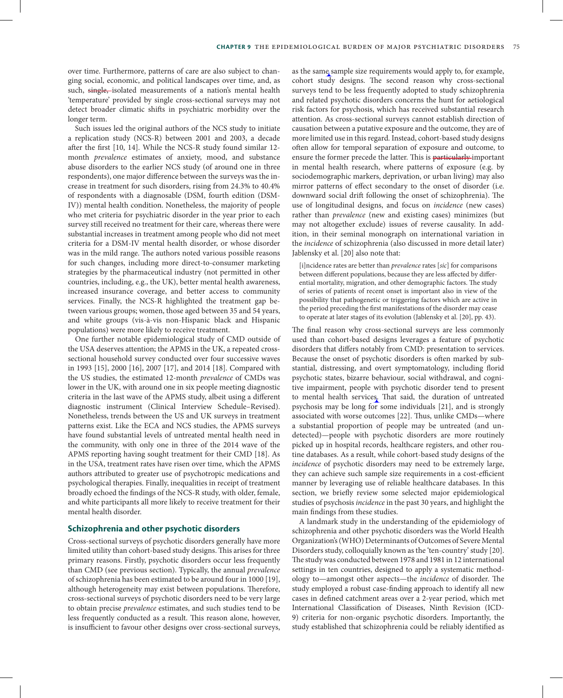over time. Furthermore, patterns of care are also subject to changing social, economic, and political landscapes over time, and, as such, single, isolated measurements of a nation's mental health 'temperature' provided by single cross-sectional surveys may not detect broader climatic shifts in psychiatric morbidity over the longer term.

Such issues led the original authors of the NCS study to initiate a replication study (NCS-R) between 2001 and 2003, a decade after the first [10, 14]. While the NCS-R study found similar 12 month *prevalence* estimates of anxiety, mood, and substance abuse disorders to the earlier NCS study (of around one in three respondents), one major difference between the surveys was the increase in treatment for such disorders, rising from 24.3% to 40.4% of respondents with a diagnosable (DSM, fourth edition (DSM-IV)) mental health condition. Nonetheless, the majority of people who met criteria for psychiatric disorder in the year prior to each survey still received no treatment for their care, whereas there were substantial increases in treatment among people who did not meet criteria for a DSM-IV mental health disorder, or whose disorder was in the mild range. The authors noted various possible reasons for such changes, including more direct-to-consumer marketing strategies by the pharmaceutical industry (not permitted in other countries, including, e.g., the UK), better mental health awareness, increased insurance coverage, and better access to community services. Finally, the NCS-R highlighted the treatment gap between various groups; women, those aged between 35 and 54 years, and white groups (vis-à-vis non-Hispanic black and Hispanic populations) were more likely to receive treatment.

One further notable epidemiological study of CMD outside of the USA deserves attention; the APMS in the UK, a repeated crosssectional household survey conducted over four successive waves in 1993 [15], 2000 [16], 2007 [17], and 2014 [18]. Compared with the US studies, the estimated 12-month *prevalence* of CMDs was lower in the UK, with around one in six people meeting diagnostic criteria in the last wave of the APMS study, albeit using a different diagnostic instrument (Clinical Interview Schedule–Revised). Nonetheless, trends between the US and UK surveys in treatment patterns exist. Like the ECA and NCS studies, the APMS surveys have found substantial levels of untreated mental health need in the community, with only one in three of the 2014 wave of the APMS reporting having sought treatment for their CMD [18]. As in the USA, treatment rates have risen over time, which the APMS authors attributed to greater use of psychotropic medications and psychological therapies. Finally, inequalities in receipt of treatment broadly echoed the findings of the NCS-R study, with older, female, and white participants all more likely to receive treatment for their mental health disorder.

#### **Schizophrenia and other psychotic disorders**

Cross-sectional surveys of psychotic disorders generally have more limited utility than cohort-based study designs. This arises for three primary reasons. Firstly, psychotic disorders occur less frequently than CMD (see previous section). Typically, the annual *prevalence* of schizophrenia has been estimated to be around four in 1000 [19], although heterogeneity may exist between populations. Therefore, cross-sectional surveys of psychotic disorders need to be very large to obtain precise *prevalence* estimates, and such studies tend to be less frequently conducted as a result. This reason alone, however, is insufficient to favour other designs over cross-sectional surveys,

as the same sample size requirements would apply to, for example, cohort study designs. The second reason why cross-sectional surveys tend to be less frequently adopted to study schizophrenia and related psychotic disorders concerns the hunt for aetiological risk factors for psychosis, which has received substantial research attention. As cross-sectional surveys cannot establish direction of causation between a putative exposure and the outcome, they are of more limited use in this regard. Instead, cohort-based study designs often allow for temporal separation of exposure and outcome, to ensure the former precede the latter. This is particularly important in mental health research, where patterns of exposure (e.g. by sociodemographic markers, deprivation, or urban living) may also mirror patterns of effect secondary to the onset of disorder (i.e. downward social drift following the onset of schizophrenia). The use of longitudinal designs, and focus on *incidence* (new cases) rather than *prevalence* (new and existing cases) minimizes (but may not altogether exclude) issues of reverse causality. In addition, in their seminal monograph on international variation in the *incidence* of schizophrenia (also discussed in more detail later) Jablensky et al. [20] also note that:

[i]ncidence rates are better than *prevalence* rates [*sic*] for comparisons between different populations, because they are less affected by differential mortality, migration, and other demographic factors. The study of series of patients of recent onset is important also in view of the possibility that pathogenetic or triggering factors which are active in the period preceding the first manifestations of the disorder may cease to operate at later stages of its evolution (Jablensky et al. [20], pp. 43).

The final reason why cross-sectional surveys are less commonly used than cohort-based designs leverages a feature of psychotic disorders that differs notably from CMD: presentation to services. Because the onset of psychotic disorders is often marked by substantial, distressing, and overt symptomatology, including florid psychotic states, bizarre behaviour, social withdrawal, and cognitive impairment, people with psychotic disorder tend to present to mental health services. That said, the duration of untreated psychosis may be long for some individuals [21], and is strongly associated with worse outcomes [22]. Thus, unlike CMDs—where a substantial proportion of people may be untreated (and undetected)—people with psychotic disorders are more routinely picked up in hospital records, healthcare registers, and other routine databases. As a result, while cohort-based study designs of the *incidence* of psychotic disorders may need to be extremely large, they can achieve such sample size requirements in a cost-efficient manner by leveraging use of reliable healthcare databases. In this section, we briefly review some selected major epidemiological studies of psychosis *incidence* in the past 30 years, and highlight the main findings from these studies.

A landmark study in the understanding of the epidemiology of schizophrenia and other psychotic disorders was the World Health Organization's (WHO) Determinants of Outcomes of Severe Mental Disorders study, colloquially known as the 'ten-country' study [20]. The study was conducted between 1978 and 1981 in 12 international settings in ten countries, designed to apply a systematic methodology to—amongst other aspects—the *incidence* of disorder. The study employed a robust case-finding approach to identify all new cases in defined catchment areas over a 2-year period, which met International Classification of Diseases, Ninth Revision (ICD-9) criteria for non-organic psychotic disorders. Importantly, the study established that schizophrenia could be reliably identified as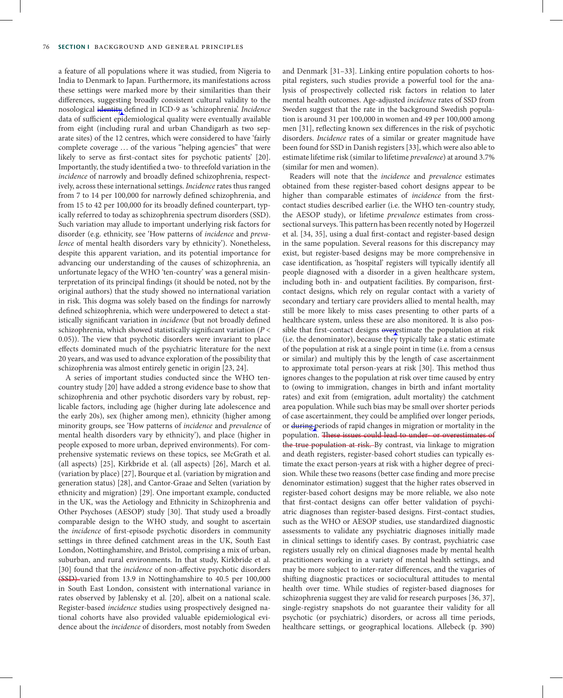a feature of all populations where it was studied, from Nigeria to India to Denmark to Japan. Furthermore, its manifestations across these settings were marked more by their similarities than their differences, suggesting broadly consistent cultural validity to the nosological identity defined in ICD-9 as 'schizophrenia'. *Incidence* data of sufficient epidemiological quality were eventually available from eight (including rural and urban Chandigarh as two separate sites) of the 12 centres, which were considered to have 'fairly complete coverage ... of the various "helping agencies" that were likely to serve as first-contact sites for psychotic patients' [20]. Importantly, the study identified a two- to threefold variation in the *incidence* of narrowly and broadly defined schizophrenia, respectively, across these international settings. *Incidence* rates thus ranged from 7 to 14 per 100,000 for narrowly defined schizophrenia, and from 15 to 42 per 100,000 for its broadly defined counterpart, typically referred to today as schizophrenia spectrum disorders (SSD). Such variation may allude to important underlying risk factors for disorder (e.g. ethnicity, see 'How patterns of *incidence* and *prevalence* of mental health disorders vary by ethnicity'). Nonetheless, despite this apparent variation, and its potential importance for advancing our understanding of the causes of schizophrenia, an unfortunate legacy of the WHO 'ten-country' was a general misinterpretation of its principal findings (it should be noted, not by the original authors) that the study showed no international variation in risk. This dogma was solely based on the findings for narrowly defined schizophrenia, which were underpowered to detect a statistically significant variation in *incidence* (but not broadly defined schizophrenia, which showed statistically significant variation (*P* < 0.05)). The view that psychotic disorders were invariant to place effects dominated much of the psychiatric literature for the next 20 years, and was used to advance exploration of the possibility that schizophrenia was almost entirely genetic in origin [23, 24].

A series of important studies conducted since the WHO tencountry study [20] have added a strong evidence base to show that schizophrenia and other psychotic disorders vary by robust, replicable factors, including age (higher during late adolescence and the early 20s), sex (higher among men), ethnicity (higher among minority groups, see 'How patterns of *incidence* and *prevalence* of mental health disorders vary by ethnicity'), and place (higher in people exposed to more urban, deprived environments). For comprehensive systematic reviews on these topics, see McGrath et al. (all aspects) [25], Kirkbride et al. (all aspects) [26], March et al. (variation by place) [27], Bourque et al. (variation by migration and generation status) [28], and Cantor-Graae and Selten (variation by ethnicity and migration) [29]. One important example, conducted in the UK, was the Aetiology and Ethnicity in Schizophrenia and Other Psychoses (AESOP) study [30]. That study used a broadly comparable design to the WHO study, and sought to ascertain the *incidence* of first-episode psychotic disorders in community settings in three defined catchment areas in the UK, South East London, Nottinghamshire, and Bristol, comprising a mix of urban, suburban, and rural environments. In that study, Kirkbride et al. [30] found that the *incidence* of non-affective psychotic disorders (SSD) varied from 13.9 in Nottinghamshire to 40.5 per 100,000 in South East London, consistent with international variance in rates observed by Jablensky et al. [20], albeit on a national scale. Register-based *incidence* studies using prospectively designed national cohorts have also provided valuable epidemiological evidence about the *incidence* of disorders, most notably from Sweden

and Denmark [31–33]. Linking entire population cohorts to hospital registers, such studies provide a powerful tool for the analysis of prospectively collected risk factors in relation to later mental health outcomes. Age-adjusted *incidence* rates of SSD from Sweden suggest that the rate in the background Swedish population is around 31 per 100,000 in women and 49 per 100,000 among men [31], reflecting known sex differences in the risk of psychotic disorders. *Incidence* rates of a similar or greater magnitude have been found for SSD in Danish registers [33], which were also able to estimate lifetime risk (similar to lifetime *prevalence*) at around 3.7% (similar for men and women).

Readers will note that the *incidence* and *prevalence* estimates obtained from these register-based cohort designs appear to be higher than comparable estimates of *incidence* from the firstcontact studies described earlier (i.e. the WHO ten-country study, the AESOP study), or lifetime *prevalence* estimates from crosssectional surveys. This pattern has been recently noted by Hogerzeil et al. [34, 35], using a dual first-contact and register-based design in the same population. Several reasons for this discrepancy may exist, but register-based designs may be more comprehensive in case identification, as 'hospital' registers will typically identify all people diagnosed with a disorder in a given healthcare system, including both in- and outpatient facilities. By comparison, firstcontact designs, which rely on regular contact with a variety of secondary and tertiary care providers allied to mental health, may still be more likely to miss cases presenting to other parts of a healthcare system, unless these are also monitored. It is also possible that first-contact designs overestimate the population at risk (i.e. the denominator), because they typically take a static estimate of the population at risk at a single point in time (i.e. from a census or similar) and multiply this by the length of case ascertainment to approximate total person-years at risk [30]. This method thus ignores changes to the population at risk over time caused by entry to (owing to immigration, changes in birth and infant mortality rates) and exit from (emigration, adult mortality) the catchment area population. While such bias may be small over shorter periods of case ascertainment, they could be amplified over longer periods, or during periods of rapid changes in migration or mortality in the population. These issues could lead to under- or overestimates of the true population at risk. By contrast, via linkage to migration and death registers, register-based cohort studies can typically estimate the exact person-years at risk with a higher degree of precision. While these two reasons (better case finding and more precise denominator estimation) suggest that the higher rates observed in register-based cohort designs may be more reliable, we also note that first-contact designs can offer better validation of psychiatric diagnoses than register-based designs. First-contact studies, such as the WHO or AESOP studies, use standardized diagnostic assessments to validate any psychiatric diagnoses initially made in clinical settings to identify cases. By contrast, psychiatric case registers usually rely on clinical diagnoses made by mental health practitioners working in a variety of mental health settings, and may be more subject to inter-rater differences, and the vagaries of shifting diagnostic practices or sociocultural attitudes to mental health over time. While studies of register-based diagnoses for schizophrenia suggest they are valid for research purposes [36, 37], single-registry snapshots do not guarantee their validity for all psychotic (or psychiatric) disorders, or across all time periods, healthcare settings, or geographical locations. Allebeck (p. 390)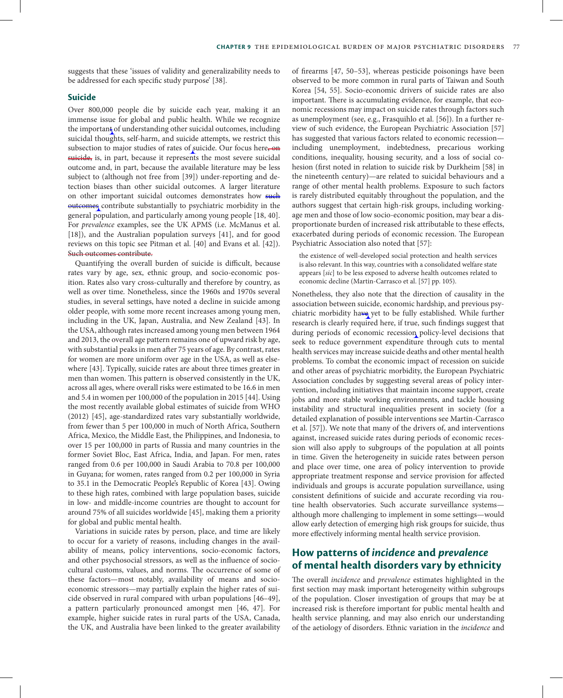suggests that these 'issues of validity and generalizability needs to be addressed for each specific study purpose' [38].

#### **Suicide**

Over 800,000 people die by suicide each year, making it an immense issue for global and public health. While we recognize the important of understanding other suicidal outcomes, including suicidal thoughts, self-harm, and suicide attempts, we restrict this subsection to major studies of rates of suicide. Our focus here, on suicide, is, in part, because it represents the most severe suicidal outcome and, in part, because the available literature may be less subject to (although not free from [39]) under-reporting and detection biases than other suicidal outcomes. A larger literature on other important suicidal outcomes demonstrates how such outcomes contribute substantially to psychiatric morbidity in the general population, and particularly among young people [18, 40]. For *prevalence* examples, see the UK APMS (i.e. McManus et al. [18]), and the Australian population surveys [41], and for good reviews on this topic see Pitman et al. [40] and Evans et al. [42]). Such outcomes contribute.

Quantifying the overall burden of suicide is difficult, because rates vary by age, sex, ethnic group, and socio-economic position. Rates also vary cross-culturally and therefore by country, as well as over time. Nonetheless, since the 1960s and 1970s several studies, in several settings, have noted a decline in suicide among older people, with some more recent increases among young men, including in the UK, Japan, Australia, and New Zealand [43]. In the USA, although rates increased among young men between 1964 and 2013, the overall age pattern remains one of upward risk by age, with substantial peaks in men after 75 years of age. By contrast, rates for women are more uniform over age in the USA, as well as elsewhere [43]. Typically, suicide rates are about three times greater in men than women. This pattern is observed consistently in the UK, across all ages, where overall risks were estimated to be 16.6 in men and 5.4 in women per 100,000 of the population in 2015 [44]. Using the most recently available global estimates of suicide from WHO (2012) [45], age-standardized rates vary substantially worldwide, from fewer than 5 per 100,000 in much of North Africa, Southern Africa, Mexico, the Middle East, the Philippines, and Indonesia, to over 15 per 100,000 in parts of Russia and many countries in the former Soviet Bloc, East Africa, India, and Japan. For men, rates ranged from 0.6 per 100,000 in Saudi Arabia to 70.8 per 100,000 in Guyana; for women, rates ranged from 0.2 per 100,000 in Syria to 35.1 in the Democratic People's Republic of Korea [43]. Owing to these high rates, combined with large population bases, suicide in low- and middle-income countries are thought to account for around 75% of all suicides worldwide [45], making them a priority for global and public mental health.

Variations in suicide rates by person, place, and time are likely to occur for a variety of reasons, including changes in the availability of means, policy interventions, socio-economic factors, and other psychosocial stressors, as well as the influence of sociocultural customs, values, and norms. The occurrence of some of these factors—most notably, availability of means and socioeconomic stressors—may partially explain the higher rates of suicide observed in rural compared with urban populations [46–49], a pattern particularly pronounced amongst men [46, 47]. For example, higher suicide rates in rural parts of the USA, Canada, the UK, and Australia have been linked to the greater availability

of firearms [47, 50–53], whereas pesticide poisonings have been observed to be more common in rural parts of Taiwan and South Korea [54, 55]. Socio-economic drivers of suicide rates are also important. There is accumulating evidence, for example, that economic recessions may impact on suicide rates through factors such as unemployment (see, e.g., Frasquihlo et al. [56]). In a further review of such evidence, the European Psychiatric Association [57] has suggested that various factors related to economic recession including unemployment, indebtedness, precarious working conditions, inequality, housing security, and a loss of social cohesion (first noted in relation to suicide risk by Durkheim [58] in the nineteenth century)—are related to suicidal behaviours and a range of other mental health problems. Exposure to such factors is rarely distributed equitably throughout the population, and the authors suggest that certain high-risk groups, including workingage men and those of low socio-economic position, may bear a disproportionate burden of increased risk attributable to these effects, exacerbated during periods of economic recession. The European Psychiatric Association also noted that [57]:

the existence of well-developed social protection and health services is also relevant. In this way, countries with a consolidated welfare state appears [*sic*] to be less exposed to adverse health outcomes related to economic decline (Martin-Carrasco et al. [57] pp. 105).

Nonetheless, they also note that the direction of causality in the association between suicide, economic hardship, and previous psychiatric morbidity have yet to be fully established. While further research is clearly required here, if true, such findings suggest that during periods of economic recession policy-level decisions that seek to reduce government expenditure through cuts to mental health services may increase suicide deaths and other mental health problems. To combat the economic impact of recession on suicide and other areas of psychiatric morbidity, the European Psychiatric Association concludes by suggesting several areas of policy intervention, including initiatives that maintain income support, create jobs and more stable working environments, and tackle housing instability and structural inequalities present in society (for a detailed explanation of possible interventions see Martin-Carrasco et al. [57]). We note that many of the drivers of, and interventions against, increased suicide rates during periods of economic recession will also apply to subgroups of the population at all points in time. Given the heterogeneity in suicide rates between person and place over time, one area of policy intervention to provide appropriate treatment response and service provision for affected individuals and groups is accurate population surveillance, using consistent definitions of suicide and accurate recording via routine health observatories. Such accurate surveillance systems although more challenging to implement in some settings—would allow early detection of emerging high risk groups for suicide, thus more effectively informing mental health service provision.

# **How patterns of** *incidence* **and** *prevalence* **of mental health disorders vary by ethnicity**

The overall *incidence* and *prevalence* estimates highlighted in the first section may mask important heterogeneity within subgroups of the population. Closer investigation of groups that may be at increased risk is therefore important for public mental health and health service planning, and may also enrich our understanding of the aetiology of disorders. Ethnic variation in the *incidence* and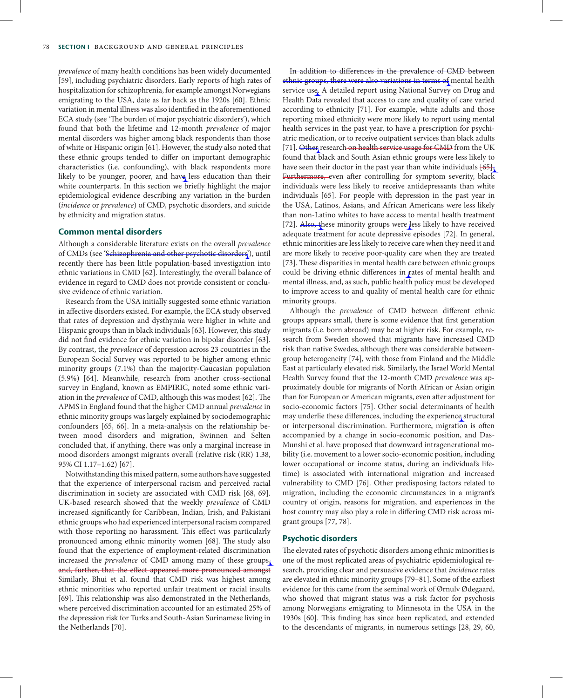*prevalence* of many health conditions has been widely documented [59], including psychiatric disorders. Early reports of high rates of hospitalization for schizophrenia, for example amongst Norwegians emigrating to the USA, date as far back as the 1920s [60]. Ethnic variation in mental illness was also identified in the aforementioned ECA study (see 'The burden of major psychiatric disorders'), which found that both the lifetime and 12-month *prevalence* of major mental disorders was higher among black respondents than those of white or Hispanic origin [61]. However, the study also noted that these ethnic groups tended to differ on important demographic characteristics (i.e. confounding), with black respondents more likely to be younger, poorer, and have less education than their white counterparts. In this section we briefly highlight the major epidemiological evidence describing any variation in the burden (*incidence* or *prevalence*) of CMD, psychotic disorders, and suicide by ethnicity and migration status.

#### **Common mental disorders**

Although a considerable literature exists on the overall *prevalence* of CMDs (see 'Schizophrenia and other psychotic disorders'), until recently there has been little population-based investigation into ethnic variations in CMD [62]. Interestingly, the overall balance of evidence in regard to CMD does not provide consistent or conclusive evidence of ethnic variation.

Research from the USA initially suggested some ethnic variation in affective disorders existed. For example, the ECA study observed that rates of depression and dysthymia were higher in white and Hispanic groups than in black individuals [63]. However, this study did not find evidence for ethnic variation in bipolar disorder [63]. By contrast, the *prevalence* of depression across 23 countries in the European Social Survey was reported to be higher among ethnic minority groups (7.1%) than the majority-Caucasian population (5.9%) [64]. Meanwhile, research from another cross-sectional survey in England, known as EMPIRIC, noted some ethnic variation in the *prevalence* of CMD, although this was modest [62]. The APMS in England found that the higher CMD annual *prevalence* in ethnic minority groups was largely explained by sociodemographic confounders [65, 66]. In a meta-analysis on the relationship between mood disorders and migration, Swinnen and Selten concluded that, if anything, there was only a marginal increase in mood disorders amongst migrants overall (relative risk (RR) 1.38, 95% CI 1.17–1.62) [67].

Notwithstanding this mixed pattern, some authors have suggested that the experience of interpersonal racism and perceived racial discrimination in society are associated with CMD risk [68, 69]. UK-based research showed that the weekly *prevalence* of CMD increased significantly for Caribbean, Indian, Irish, and Pakistani ethnic groups who had experienced interpersonal racism compared with those reporting no harassment. This effect was particularly pronounced among ethnic minority women [68]. The study also found that the experience of employment-related discrimination increased the *prevalence* of CMD among many of these groups, and, further, that the effect appeared more pronounced amongst Similarly, Bhui et al. found that CMD risk was highest among ethnic minorities who reported unfair treatment or racial insults [69]. This relationship was also demonstrated in the Netherlands, where perceived discrimination accounted for an estimated 25% of the depression risk for Turks and South-Asian Surinamese living in the Netherlands [70].

In addition to differences in the prevalence of CMD between ethnic groups, there were also variations in terms of mental health service use. A detailed report using National Survey on Drug and Health Data revealed that access to care and quality of care varied according to ethnicity [71]. For example, white adults and those reporting mixed ethnicity were more likely to report using mental health services in the past year, to have a prescription for psychiatric medication, or to receive outpatient services than black adults [71]. Other research on health service usage for CMD from the UK found that black and South Asian ethnic groups were less likely to have seen their doctor in the past year than white individuals  $[65]$ . Furthermore, even after controlling for symptom severity, black individuals were less likely to receive antidepressants than white individuals [65]. For people with depression in the past year in the USA, Latinos, Asians, and African Americans were less likely than non-Latino whites to have access to mental health treatment [72]. Also, these minority groups were less likely to have received adequate treatment for acute depressive episodes [72]. In general, ethnic minorities are less likely to receive care when they need it and are more likely to receive poor-quality care when they are treated [73]. These disparities in mental health care between ethnic groups could be driving ethnic differences in rates of mental health and mental illness, and, as such, public health policy must be developed to improve access to and quality of mental health care for ethnic minority groups.

Although the *prevalence* of CMD between different ethnic groups appears small, there is some evidence that first generation migrants (i.e. born abroad) may be at higher risk. For example, research from Sweden showed that migrants have increased CMD risk than native Swedes, although there was considerable betweengroup heterogeneity [74], with those from Finland and the Middle East at particularly elevated risk. Similarly, the Israel World Mental Health Survey found that the 12-month CMD *prevalence* was approximately double for migrants of North African or Asian origin than for European or American migrants, even after adjustment for socio-economic factors [75]. Other social determinants of health may underlie these differences, including the experience structural or interpersonal discrimination. Furthermore, migration is often accompanied by a change in socio-economic position, and Das-Munshi et al. have proposed that downward intragenerational mobility (i.e. movement to a lower socio-economic position, including lower occupational or income status, during an individual's lifetime) is associated with international migration and increased vulnerability to CMD [76]. Other predisposing factors related to migration, including the economic circumstances in a migrant's country of origin, reasons for migration, and experiences in the host country may also play a role in differing CMD risk across migrant groups [77, 78].

#### **Psychotic disorders**

The elevated rates of psychotic disorders among ethnic minorities is one of the most replicated areas of psychiatric epidemiological research, providing clear and persuasive evidence that *incidence* rates are elevated in ethnic minority groups [79–81]. Some of the earliest evidence for this came from the seminal work of Ørnulv Ødegaard, who showed that migrant status was a risk factor for psychosis among Norwegians emigrating to Minnesota in the USA in the 1930s [60]. This finding has since been replicated, and extended to the descendants of migrants, in numerous settings [28, 29, 60,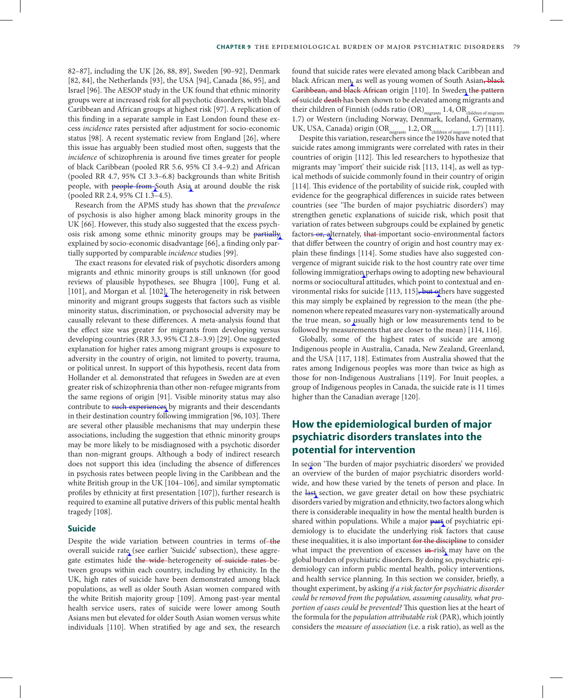82–87], including the UK [26, 88, 89], Sweden [90–92], Denmark [82, 84], the Netherlands [93], the USA [94], Canada [86, 95], and Israel [96]. The AESOP study in the UK found that ethnic minority groups were at increased risk for all psychotic disorders, with black Caribbean and African groups at highest risk [97]. A replication of this finding in a separate sample in East London found these excess *incidence* rates persisted after adjustment for socio-economic status [98]. A recent systematic review from England [26], where this issue has arguably been studied most often, suggests that the *incidence* of schizophrenia is around five times greater for people of black Caribbean (pooled RR 5.6, 95% CI 3.4–9.2) and African (pooled RR 4.7, 95% CI 3.3–6.8) backgrounds than white British people, with people from South Asia at around double the risk (pooled RR 2.4, 95% CI 1.3–4.5).

Research from the APMS study has shown that the *prevalence* of psychosis is also higher among black minority groups in the UK [66]. However, this study also suggested that the excess psychosis risk among some ethnic minority groups may be partially explained by socio-economic disadvantage [66], a finding only partially supported by comparable *incidence* studies [99].

The exact reasons for elevated risk of psychotic disorders among migrants and ethnic minority groups is still unknown (for good reviews of plausible hypotheses, see Bhugra [100], Fung et al. [101], and Morgan et al. [102]. The heterogeneity in risk between minority and migrant groups suggests that factors such as visible minority status, discrimination, or psychosocial adversity may be causally relevant to these differences. A meta-analysis found that the effect size was greater for migrants from developing versus developing countries (RR 3.3, 95% CI 2.8–3.9) [29]. One suggested explanation for higher rates among migrant groups is exposure to adversity in the country of origin, not limited to poverty, trauma, or political unrest. In support of this hypothesis, recent data from Hollander et al. demonstrated that refugees in Sweden are at even greater risk of schizophrenia than other non-refugee migrants from the same regions of origin [91]. Visible minority status may also contribute to such experiences by migrants and their descendants in their destination country following immigration [96, 103]. There are several other plausible mechanisms that may underpin these associations, including the suggestion that ethnic minority groups may be more likely to be misdiagnosed with a psychotic disorder than non-migrant groups. Although a body of indirect research does not support this idea (including the absence of differences in psychosis rates between people living in the Caribbean and the white British group in the UK [104–106], and similar symptomatic profiles by ethnicity at first presentation [107]), further research is required to examine all putative drivers of this public mental health tragedy [108].

#### **Suicide**

Despite the wide variation between countries in terms of-the overall suicide rate (see earlier 'Suicide' subsection), these aggregate estimates hide the wide-heterogeneity of suicide rates-between groups within each country, including by ethnicity. In the UK, high rates of suicide have been demonstrated among black populations, as well as older South Asian women compared with the white British majority group [109]. Among past-year mental health service users, rates of suicide were lower among South Asians men but elevated for older South Asian women versus white individuals [110]. When stratified by age and sex, the research

found that suicide rates were elevated among black Caribbean and black African men, as well as young women of South Asian, black Caribbean, and black African origin [110]. In Sweden the pattern of suicide death has been shown to be elevated among migrants and their children of Finnish (odds ratio  $(OR)_{\text{mionants}}$  1.4,  $OR_{\text{children of miernits}}$ 1.7) or Western (including Norway, Denmark, Iceland, Germany, UK, USA, Canada) origin  $(OR_{miorants} 1.2, OR_{children of miorrants} 1.7)$  [111].

Despite this variation, researchers since the 1920s have noted that suicide rates among immigrants were correlated with rates in their countries of origin [112]. This led researchers to hypothesize that migrants may 'import' their suicide risk [113, 114], as well as typical methods of suicide commonly found in their country of origin [114]. This evidence of the portability of suicide risk, coupled with evidence for the geographical differences in suicide rates between countries (see 'The burden of major psychiatric disorders') may strengthen genetic explanations of suicide risk, which posit that variation of rates between subgroups could be explained by genetic factors-or, alternately, that-important socio-environmental factors that differ between the country of origin and host country may explain these findings [114]. Some studies have also suggested convergence of migrant suicide risk to the host country rate over time following immigration perhaps owing to adopting new behavioural norms or sociocultural attitudes, which point to contextual and environmental risks for suicide [113, 115], but others have suggested this may simply be explained by regression to the mean (the phenomenon where repeated measures vary non-systematically around the true mean, so usually high or low measurements tend to be followed by measurements that are closer to the mean) [114, 116].

Globally, some of the highest rates of suicide are among Indigenous people in Australia, Canada, New Zealand, Greenland, and the USA [117, 118]. Estimates from Australia showed that the rates among Indigenous peoples was more than twice as high as those for non-Indigenous Australians [119]. For Inuit peoples, a group of Indigenous peoples in Canada, the suicide rate is 11 times higher than the Canadian average [120].

# **How the epidemiological burden of major psychiatric disorders translates into the potential for intervention**

In secion 'The burden of major psychiatric disorders' we provided an overview of the burden of major psychiatric disorders worldwide, and how these varied by the tenets of person and place. In the last section, we gave greater detail on how these psychiatric disorders varied by migration and ethnicity, two factors along which there is considerable inequality in how the mental health burden is shared within populations. While a major part of psychiatric epidemiology is to elucidate the underlying risk factors that cause these inequalities, it is also important for the discipline to consider what impact the prevention of excesses in-risk may have on the global burden of psychiatric disorders. By doing so, psychiatric epidemiology can inform public mental health, policy interventions, and health service planning. In this section we consider, briefly, a thought experiment, by asking *if a risk factor for psychiatric disorder could be removed from the population, assuming causality, what proportion of cases could be prevented?* This question lies at the heart of the formula for the *population attributable risk* (PAR), which jointly considers the *measure of association* (i.e. a risk ratio), as well as the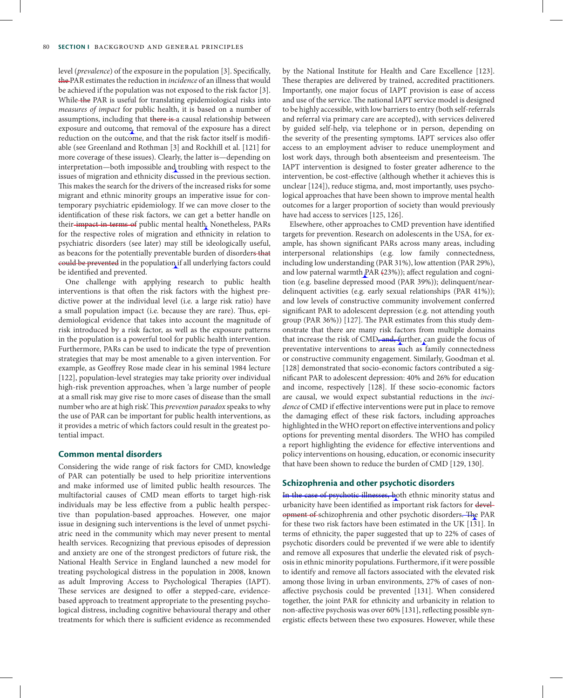level (*prevalence*) of the exposure in the population [3]. Specifically, the PAR estimates the reduction in *incidence* of an illness that would be achieved if the population was not exposed to the risk factor [3]. While the PAR is useful for translating epidemiological risks into *measures of impact* for public health, it is based on a number of assumptions, including that there is a causal relationship between exposure and outcome, that removal of the exposure has a direct reduction on the outcome, and that the risk factor itself is modifiable (see Greenland and Rothman [3] and Rockhill et al. [121] for more coverage of these issues). Clearly, the latter is—depending on interpretation—both impossible and troubling with respect to the issues of migration and ethnicity discussed in the previous section. This makes the search for the drivers of the increased risks for some migrant and ethnic minority groups an imperative issue for contemporary psychiatric epidemiology. If we can move closer to the identification of these risk factors, we can get a better handle on their-impact in terms of public mental health. Nonetheless, PARs for the respective roles of migration and ethnicity in relation to psychiatric disorders (see later) may still be ideologically useful, as beacons for the potentially preventable burden of disorders that could be prevented in the population if all underlying factors could be identified and prevented.

One challenge with applying research to public health interventions is that often the risk factors with the highest predictive power at the individual level (i.e. a large risk ratio) have a small population impact (i.e. because they are rare). Thus, epidemiological evidence that takes into account the magnitude of risk introduced by a risk factor, as well as the exposure patterns in the population is a powerful tool for public health intervention. Furthermore, PARs can be used to indicate the type of prevention strategies that may be most amenable to a given intervention. For example, as Geoffrey Rose made clear in his seminal 1984 lecture [122], population-level strategies may take priority over individual high-risk prevention approaches, when 'a large number of people at a small risk may give rise to more cases of disease than the small number who are at high risk'. This *prevention paradox* speaks to why the use of PAR can be important for public health interventions, as it provides a metric of which factors could result in the greatest potential impact.

#### **Common mental disorders**

Considering the wide range of risk factors for CMD, knowledge of PAR can potentially be used to help prioritize interventions and make informed use of limited public health resources. The multifactorial causes of CMD mean efforts to target high-risk individuals may be less effective from a public health perspective than population-based approaches. However, one major issue in designing such interventions is the level of unmet psychiatric need in the community which may never present to mental health services. Recognizing that previous episodes of depression and anxiety are one of the strongest predictors of future risk, the National Health Service in England launched a new model for treating psychological distress in the population in 2008, known as adult Improving Access to Psychological Therapies (IAPT). These services are designed to offer a stepped-care, evidencebased approach to treatment appropriate to the presenting psychological distress, including cognitive behavioural therapy and other treatments for which there is sufficient evidence as recommended

by the National Institute for Health and Care Excellence [123]. These therapies are delivered by trained, accredited practitioners. Importantly, one major focus of IAPT provision is ease of access and use of the service. The national IAPT service model is designed to be highly accessible, with low barriers to entry (both self-referrals and referral via primary care are accepted), with services delivered by guided self-help, via telephone or in person, depending on the severity of the presenting symptoms. IAPT services also offer access to an employment adviser to reduce unemployment and lost work days, through both absenteeism and presenteeism. The IAPT intervention is designed to foster greater adherence to the intervention, be cost-effective (although whether it achieves this is unclear [124]), reduce stigma, and, most importantly, uses psychological approaches that have been shown to improve mental health outcomes for a larger proportion of society than would previously have had access to services [125, 126].

Elsewhere, other approaches to CMD prevention have identified targets for prevention. Research on adolescents in the USA, for example, has shown significant PARs across many areas, including interpersonal relationships (e.g. low family connectedness, including low understanding (PAR 31%), low attention (PAR 29%), and low paternal warmth PAR (23%)); affect regulation and cognition (e.g. baseline depressed mood (PAR 39%)); delinquent/neardelinquent activities (e.g. early sexual relationships (PAR 41%)); and low levels of constructive community involvement conferred significant PAR to adolescent depression (e.g. not attending youth group (PAR 36%)) [127]. The PAR estimates from this study demonstrate that there are many risk factors from multiple domains that increase the risk of CMD, and, further, can guide the focus of preventative interventions to areas such as family connectedness or constructive community engagement. Similarly, Goodman et al. [128] demonstrated that socio-economic factors contributed a significant PAR to adolescent depression: 40% and 26% for education and income, respectively [128]. If these socio-economic factors are causal, we would expect substantial reductions in the *incidence* of CMD if effective interventions were put in place to remove the damaging effect of these risk factors, including approaches highlighted in the WHO report on effective interventions and policy options for preventing mental disorders. The WHO has compiled a report highlighting the evidence for effective interventions and policy interventions on housing, education, or economic insecurity that have been shown to reduce the burden of CMD [129, 130].

#### **Schizophrenia and other psychotic disorders**

In the case of psychotic illnesses, both ethnic minority status and urbanicity have been identified as important risk factors for development of schizophrenia and other psychotic disorders. The PAR for these two risk factors have been estimated in the UK [131]. In terms of ethnicity, the paper suggested that up to 22% of cases of psychotic disorders could be prevented if we were able to identify and remove all exposures that underlie the elevated risk of psychosis in ethnic minority populations. Furthermore, if it were possible to identify and remove all factors associated with the elevated risk among those living in urban environments, 27% of cases of nonaffective psychosis could be prevented [131]. When considered together, the joint PAR for ethnicity and urbanicity in relation to non-affective psychosis was over 60% [131], reflecting possible synergistic effects between these two exposures. However, while these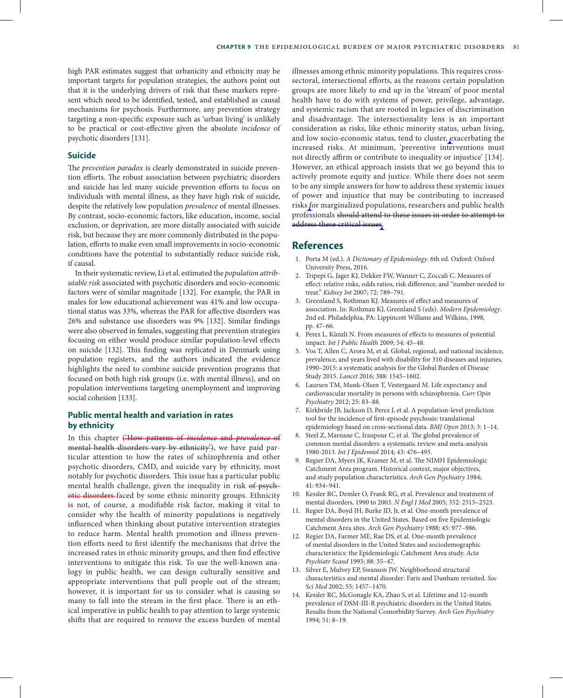high PAR estimates suggest that urbanicity and ethnicity may be important targets for population strategies, the authors point out that it is the underlying drivers of risk that these markers represent which need to be identified, tested, and established as causal mechanisms for psychosis. Furthermore, any prevention strategy targeting a non-specific exposure such as 'urban living' is unlikely to be practical or cost-effective given the absolute *incidence* of psychotic disorders [131].

#### **Suicide**

The *prevention paradox* is clearly demonstrated in suicide prevention efforts. The robust association between psychiatric disorders and suicide has led many suicide prevention efforts to focus on individuals with mental illness, as they have high risk of suicide, despite the relatively low population *prevalence* of mental illnesses. By contrast, socio-economic factors, like education, income, social exclusion, or deprivation, are more distally associated with suicide risk, but because they are more commonly distributed in the population, efforts to make even small improvements in socio-economic conditions have the potential to substantially reduce suicide risk, if causal.

In their systematic review, Li et al. estimated the *population attributable risk* associated with psychotic disorders and socio-economic factors were of similar magnitude [132]. For example, the PAR in males for low educational achievement was 41% and low occupational status was 33%, whereas the PAR for affective disorders was 26% and substance use disorders was 9% [132]. Similar findings were also observed in females, suggesting that prevention strategies focusing on either would produce similar population-level effects on suicide [132]. This finding was replicated in Denmark using population registers, and the authors indicated the evidence highlights the need to combine suicide prevention programs that focused on both high risk groups (i.e. with mental illness), and on population interventions targeting unemployment and improving social cohesion [133].

### **Public mental health and variation in rates by ethnicity**

In this chapter ('How patterns of *incidence* and *prevalence* of mental health disorders vary by ethnicity'), we have paid particular attention to how the rates of schizophrenia and other psychotic disorders, CMD, and suicide vary by ethnicity, most notably for psychotic disorders. This issue has a particular public mental health challenge, given the inequality in risk of psychotic disorders faced by some ethnic minority groups. Ethnicity is not, of course, a modifiable risk factor, making it vital to consider why the health of minority populations is negatively influenced when thinking about putative intervention strategies to reduce harm. Mental health promotion and illness prevention efforts need to first identify the mechanisms that drive the increased rates in ethnic minority groups, and then find effective interventions to mitigate this risk. To use the well-known analogy in public health, we can design culturally sensitive and appropriate interventions that pull people out of the stream; however, it is important for us to consider what is causing so many to fall into the stream in the first place. There is an ethical imperative in public health to pay attention to large systemic shifts that are required to remove the excess burden of mental

illnesses among ethnic minority populations. This requires crosssectoral, intersectional efforts, as the reasons certain population groups are more likely to end up in the 'stream' of poor mental health have to do with systems of power, privilege, advantage, and systemic racism that are rooted in legacies of discrimination and disadvantage. The intersectionality lens is an important consideration as risks, like ethnic minority status, urban living, and low socio-economic status, tend to cluster, exacerbating the increased risks. At minimum, 'preventive interventions must not directly affirm or contribute to inequality or injustice' [134]. However, an ethical approach insists that we go beyond this to actively promote equity and justice. While there does not seem to be any simple answers for how to address these systemic issues of power and injustice that may be contributing to increased risks for marginalized populations, researchers and public health professionals should attend to these issues in order to attempt to address these critical issues.

#### **References**

- 1. Porta M (ed.). *A Dictionary of Epidemiology*. 6th ed. Oxford: Oxford University Press, 2016.
- 2. Tripepi G, Jager KJ, Dekker FW, Wanner C, Zoccali C. Measures of effect: relative risks, odds ratios, risk difference, and "number needed to treat." *Kidney Int* 2007; 72: 789–791.
- 3. Greenland S, Rothman KJ. Measures of effect and measures of association. In: Rothman KJ, Greenland S (eds). *Modern Epidemiology*. 2nd ed. Philadelphia, PA: Lippincott Willams and Wilkins, 1998, pp. 47–66.
- 4. Perez L, Künzli N. From measures of effects to measures of potential impact. *Int J Public Health* 2009; 54: 45–48.
- 5. Vos T, Allen C, Arora M, et al. Global, regional, and national incidence, prevalence, and years lived with disability for 310 diseases and injuries, 1990–2015: a systematic analysis for the Global Burden of Disease Study 2015. *Lancet* 2016; 388: 1545–1602.
- 6. Laursen TM, Munk-Olsen T, Vestergaard M. Life expectancy and cardiovascular mortality in persons with schizophrenia. *Curr Opin Psychiatry* 2012; 25: 83–88.
- 7. Kirkbride JB, Jackson D, Perez J, et al. A population-level prediction tool for the incidence of first-episode psychosis: translational epidemiology based on cross-sectional data. *BMJ Open* 2013; 3: 1–14.
- 8. Steel Z, Marnane C, Iranpour C, et al. The global prevalence of common mental disorders: a systematic review and meta-analysis 1980-2013. *Int J Epidemiol* 2014; 43: 476–493.
- 9. Regier DA, Myers JK, Kramer M, et al. The NIMH Epidemiologic Catchment Area program. Historical context, major objectives, and study population characteristics. *Arch Gen Psychiatry* 1984; 41: 934–941.
- 10. Kessler RC, Demler O, Frank RG, et al. Prevalence and treatment of mental disorders, 1990 to 2003. *N Engl J Med* 2005; 352: 2515–2523.
- 11. Regier DA, Boyd JH, Burke JD, Jr, et al. One-month prevalence of mental disorders in the United States. Based on five Epidemiologic Catchment Area sites. *Arch Gen Psychiatry* 1988; 45: 977–986.
- 12. Regier DA, Farmer ME, Rae DS, et al. One-month prevalence of mental disorders in the United States and sociodemographic characteristics: the Epidemiologic Catchment Area study. *Acta Psychiatr Scand* 1993; 88: 35–47.
- 13. Silver E, Mulvey EP, Swanson JW. Neighborhood structural characteristics and mental disorder: Faris and Dunham revisited. *Soc Sci Med* 2002; 55: 1457–1470.
- 14. Kessler RC, McGonagle KA, Zhao S, et al. Lifetime and 12-month prevalence of DSM-III-R psychiatric disorders in the United States. Results from the National Comorbidity Survey. *Arch Gen Psychiatry* 1994; 51: 8–19.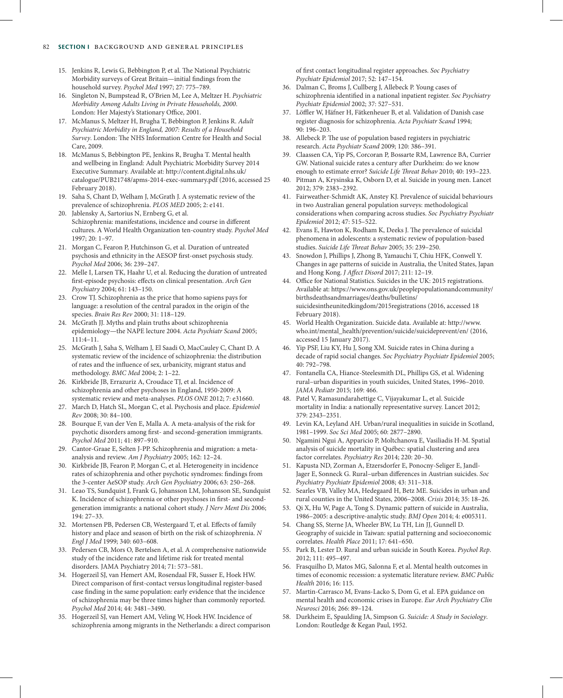#### 82 **Section I** background and general principles

- 15. Jenkins R, Lewis G, Bebbington P, et al. The National Psychiatric Morbidity surveys of Great Britain—initial findings from the household survey. *Psychol Med* 1997; 27: 775–789.
- 16. Singleton N, Bumpstead R, O'Brien M, Lee A, Meltzer H. *Psychiatric Morbidity Among Adults Living in Private Households, 2000*. London: Her Majesty's Stationary Office, 2001.
- 17. McManus S, Meltzer H, Brugha T, Bebbington P, Jenkins R. *Adult Psychiatric Morbidity in England, 2007: Results of a Household Survey*. London: The NHS Information Centre for Health and Social Care, 2009.
- 18. McManus S, Bebbington PE, Jenkins R, Brugha T. Mental health and wellbeing in England: Adult Psychiatric Morbidity Survey 2014 Executive Summary. Available at: http://content.digital.nhs.uk/ catalogue/PUB21748/apms-2014-exec-summary.pdf (2016, accessed 25 February 2018).
- 19. Saha S, Chant D, Welham J, McGrath J. A systematic review of the prevalence of schizophrenia. *PLOS MED* 2005; 2: e141.
- 20. Jablensky A, Sartorius N, Ernberg G, et al. Schizophrenia: manifestations, incidence and course in different cultures. A World Health Organization ten-country study. *Psychol Med* 1997; 20: 1–97.
- 21. Morgan C, Fearon P, Hutchinson G, et al. Duration of untreated psychosis and ethnicity in the AESOP first-onset psychosis study. *Psychol Med* 2006; 36: 239–247.
- 22. Melle I, Larsen TK, Haahr U, et al. Reducing the duration of untreated first-episode psychosis: effects on clinical presentation. *Arch Gen Psychiatry* 2004; 61: 143–150.
- 23. Crow TJ. Schizophrenia as the price that homo sapiens pays for language: a resolution of the central paradox in the origin of the species. *Brain Res Rev* 2000; 31: 118–129.
- 24. McGrath JJ. Myths and plain truths about schizophrenia epidemiology—the NAPE lecture 2004. *Acta Psychiatr Scand* 2005; 111:4–11.
- 25. McGrath J, Saha S, Welham J, El Saadi O, MacCauley C, Chant D. A systematic review of the incidence of schizophrenia: the distribution of rates and the influence of sex, urbanicity, migrant status and methodology. *BMC Med* 2004; 2: 1–22.
- 26. Kirkbride JB, Errazuriz A, Croudace TJ, et al. Incidence of schizophrenia and other psychoses in England, 1950-2009: A systematic review and meta-analyses. *PLOS ONE* 2012; 7: e31660.
- 27. March D, Hatch SL, Morgan C, et al. Psychosis and place. *Epidemiol Rev* 2008; 30: 84–100.
- 28. Bourque F, van der Ven E, Malla A. A meta-analysis of the risk for psychotic disorders among first- and second-generation immigrants. *Psychol Med* 2011; 41: 897–910.
- 29. Cantor-Graae E, Selten J-PP. Schizophrenia and migration: a metaanalysis and review. *Am J Psychiatry* 2005; 162: 12–24.
- 30. Kirkbride JB, Fearon P, Morgan C, et al. Heterogeneity in incidence rates of schizophrenia and other psychotic syndromes: findings from the 3-center AeSOP study. *Arch Gen Psychiatry* 2006; 63: 250–268.
- 31. Leao TS, Sundquist J, Frank G, Johansson LM, Johansson SE, Sundquist K. Incidence of schizophrenia or other psychoses in first- and secondgeneration immigrants: a national cohort study. *J Nerv Ment Dis* 2006; 194: 27–33.
- 32. Mortensen PB, Pedersen CB, Westergaard T, et al. Effects of family history and place and season of birth on the risk of schizophrenia. *N Engl J Med* 1999; 340: 603–608.
- 33. Pedersen CB, Mors O, Bertelsen A, et al. A comprehensive nationwide study of the incidence rate and lifetime risk for treated mental disorders. JAMA Psychiatry 2014; 71: 573–581.
- 34. Hogerzeil SJ, van Hemert AM, Rosendaal FR, Susser E, Hoek HW. Direct comparison of first-contact versus longitudinal register-based case finding in the same population: early evidence that the incidence of schizophrenia may be three times higher than commonly reported. *Psychol Med* 2014; 44: 3481–3490.
- 35. Hogerzeil SJ, van Hemert AM, Veling W, Hoek HW. Incidence of schizophrenia among migrants in the Netherlands: a direct comparison

of first contact longitudinal register approaches. *Soc Psychiatry Psychiatr Epidemiol* 2017; 52: 147–154.

- 36. Dalman C, Broms J, Cullberg J, Allebeck P. Young cases of schizophrenia identified in a national inpatient register. *Soc Psychiatry Psychiatr Epidemiol* 2002; 37: 527–531.
- 37. Löffler W, Häfner H, Fätkenheuer B, et al. Validation of Danish case register diagnosis for schizophrenia. *Acta Psychiatr Scand* 1994; 90: 196–203.
- 38. Allebeck P. The use of population based registers in psychiatric research. *Acta Psychiatr Scand* 2009; 120: 386–391.
- 39. Claassen CA, Yip PS, Corcoran P, Bossarte RM, Lawrence BA, Currier GW. National suicide rates a century after Durkheim: do we know enough to estimate error? *Suicide Life Threat Behav* 2010; 40: 193–223.
- 40. Pitman A, Krysinska K, Osborn D, et al. Suicide in young men. Lancet 2012; 379: 2383–2392.
- 41. Fairweather-Schmidt AK, Anstey KJ. Prevalence of suicidal behaviours in two Australian general population surveys: methodological considerations when comparing across studies. *Soc Psychiatry Psychiatr Epidemiol* 2012; 47: 515–522.
- 42. Evans E, Hawton K, Rodham K, Deeks J. The prevalence of suicidal phenomena in adolescents: a systematic review of population-based studies. *Suicide Life Threat Behav* 2005; 35: 239–250.
- 43. Snowdon J, Phillips J, Zhong B, Yamauchi T, Chiu HFK, Conwell Y. Changes in age patterns of suicide in Australia, the United States, Japan and Hong Kong. *J Affect Disord* 2017; 211: 12–19.
- 44. Office for National Statistics. Suicides in the UK: 2015 registrations. Available at: https://www.ons.gov.uk/peoplepopulationandcommunity/ birthsdeathsandmarriages/deaths/bulletins/ suicidesintheunitedkingdom/2015registrations (2016, accessed 18 February 2018).
- 45. World Health Organization. Suicide data. Available at: http://www. who.int/mental\_health/prevention/suicide/suicideprevent/en/ (2016, accessed 15 January 2017).
- 46. Yip PSF, Liu KY, Hu J, Song XM. Suicide rates in China during a decade of rapid social changes. *Soc Psychiatry Psychiatr Epidemiol* 2005; 40: 792–798.
- 47. Fontanella CA, Hiance-Steelesmith DL, Phillips GS, et al. Widening rural–urban disparities in youth suicides, United States, 1996–2010. *JAMA Pediatr* 2015; 169: 466.
- 48. Patel V, Ramasundarahettige C, Vijayakumar L, et al. Suicide mortality in India: a nationally representative survey. Lancet 2012; 379: 2343–2351.
- 49. Levin KA, Leyland AH. Urban/rural inequalities in suicide in Scotland, 1981–1999. *Soc Sci Med* 2005; 60: 2877–2890.
- 50. Ngamini Ngui A, Apparicio P, Moltchanova E, Vasiliadis H-M. Spatial analysis of suicide mortality in Québec: spatial clustering and area factor correlates. *Psychiatry Res* 2014; 220: 20–30.
- 51. Kapusta ND, Zorman A, Etzersdorfer E, Ponocny-Seliger E, Jandl-Jager E, Sonneck G. Rural–urban differences in Austrian suicides. *Soc Psychiatry Psychiatr Epidemiol* 2008; 43: 311–318.
- 52. Searles VB, Valley MA, Hedegaard H, Betz ME. Suicides in urban and rural counties in the United States, 2006–2008. *Crisis* 2014; 35: 18–26.
- 53. Qi X, Hu W, Page A, Tong S. Dynamic pattern of suicide in Australia, 1986–2005: a descriptive-analytic study. *BMJ Open* 2014; 4: e005311.
- 54. Chang SS, Sterne JA, Wheeler BW, Lu TH, Lin JJ, Gunnell D. Geography of suicide in Taiwan: spatial patterning and socioeconomic correlates. *Health Place* 2011; 17: 641–650.
- 55. Park B, Lester D. Rural and urban suicide in South Korea. *Psychol Rep*. 2012; 111: 495–497.
- 56. Frasquilho D, Matos MG, Salonna F, et al. Mental health outcomes in times of economic recession: a systematic literature review. *BMC Public Health* 2016; 16: 115.
- 57. Martin-Carrasco M, Evans-Lacko S, Dom G, et al. EPA guidance on mental health and economic crises in Europe. *Eur Arch Psychiatry Clin Neurosci* 2016; 266: 89–124.
- 58. Durkheim E, Spaulding JA, Simpson G. *Suicide: A Study in Sociology*. London: Routledge & Kegan Paul, 1952.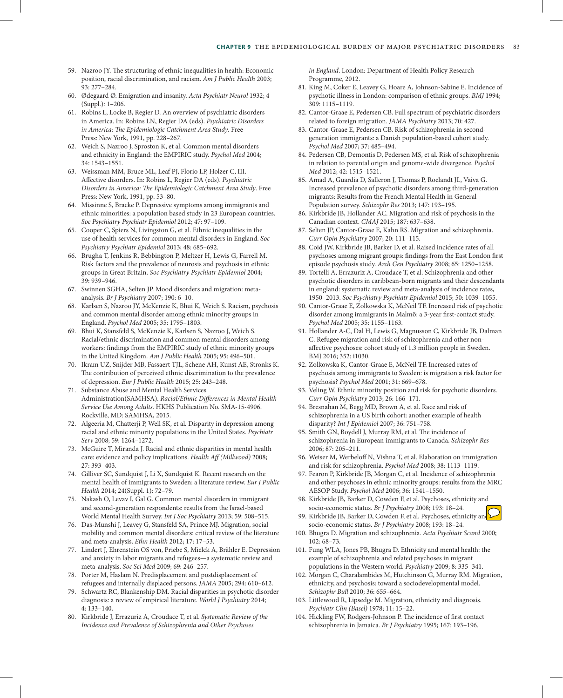- 59. Nazroo JY. The structuring of ethnic inequalities in health: Economic position, racial discrimination, and racism. *Am J Public Health* 2003; 93: 277–284.
- 60. Ødegaard Ø. Emigration and insanity. *Acta Psychiatr Neurol* 1932; 4 (Suppl.): 1–206.
- 61. Robins L, Locke B, Regier D. An overview of psychiatric disorders in America. In: Robins LN, Regier DA (eds). *Psychiatric Disorders in America: The Epidemiologic Catchment Area Study*. Free Press: New York, 1991, pp. 228–267.
- 62. Weich S, Nazroo J, Sproston K, et al. Common mental disorders and ethnicity in England: the EMPIRIC study. *Psychol Med* 2004; 34: 1543–1551.
- 63. Weissman MM, Bruce ML, Leaf PJ, Florio LP, Holzer C, III. Affective disorders. In: Robins L, Regier DA (eds). *Psychiatric Disorders in America: The Epidemiologic Catchment Area Study*. Free Press: New York, 1991, pp. 53–80.
- 64. Missinne S, Bracke P. Depressive symptoms among immigrants and ethnic minorities: a population based study in 23 European countries. *Soc Psychiatry Psychiatr Epidemiol* 2012; 47: 97–109.
- 65. Cooper C, Spiers N, Livingston G, et al. Ethnic inequalities in the use of health services for common mental disorders in England. *Soc Psychiatry Psychiatr Epidemiol* 2013; 48: 685–692.
- 66. Brugha T, Jenkins R, Bebbington P, Meltzer H, Lewis G, Farrell M. Risk factors and the prevalence of neurosis and psychosis in ethnic groups in Great Britain. *Soc Psychiatry Psychiatr Epidemiol* 2004; 39: 939–946.
- 67. Swinnen SGHA, Selten JP. Mood disorders and migration: metaanalysis. *Br J Psychiatr*y 2007; 190: 6–10.
- 68. Karlsen S, Nazroo JY, McKenzie K, Bhui K, Weich S. Racism, psychosis and common mental disorder among ethnic minority groups in England. *Psychol Med* 2005; 35: 1795–1803.
- 69. Bhui K, Stansfeld S, McKenzie K, Karlsen S, Nazroo J, Weich S. Racial/ethnic discrimination and common mental disorders among workers: findings from the EMPIRIC study of ethnic minority groups in the United Kingdom. *Am J Public Health* 2005; 95: 496–501.
- 70. Ikram UZ, Snijder MB, Fassaert TJL, Schene AH, Kunst AE, Stronks K. The contribution of perceived ethnic discrimination to the prevalence of depression. *Eur J Public Health* 2015; 25: 243–248.
- 71. Substance Abuse and Mental Health Services Administration(SAMHSA). *Racial/Ethnic Differences in Mental Health Service Use Among Adults*. HKHS Publication No. SMA-15-4906. Rockville, MD: SAMHSA, 2015.
- 72. Algeeria M, Chatterji P, Well SK, et al. Disparity in depression among racial and ethnic minority populations in the United States. *Psychiatr Serv* 2008; 59: 1264–1272.
- 73. McGuire T, Miranda J. Racial and ethnic disparities in mental health care: evidence and policy implications. *Health Aff (Millwood)* 2008; 27: 393–403.
- 74. Gilliver SC, Sundquist J, Li X, Sundquist K. Recent research on the mental health of immigrants to Sweden: a literature review. *Eur J Public Health* 2014; 24(Suppl. 1): 72–79.
- 75. Nakash O, Levav I, Gal G. Common mental disorders in immigrant and second-generation respondents: results from the Israel-based World Mental Health Survey. *Int J Soc Psychiatry* 2013; 59: 508–515.
- 76. Das-Munshi J, Leavey G, Stansfeld SA, Prince MJ. Migration, social mobility and common mental disorders: critical review of the literature and meta-analysis. *Ethn Health* 2012; 17: 17–53.
- 77. Lindert J, Ehrenstein OS von, Priebe S, Mielck A, Brähler E. Depression and anxiety in labor migrants and refugees—a systematic review and meta-analysis. *Soc Sci Med* 2009; 69: 246–257.
- 78. Porter M, Haslam N. Predisplacement and postdisplacement of refugees and internally displaced persons. *JAMA* 2005; 294: 610–612.
- 79. Schwartz RC, Blankenship DM. Racial disparities in psychotic disorder diagnosis: a review of empirical literature. *World J Psychiatry* 2014; 4: 133–140.
- 80. Kirkbride J, Errazuriz A, Croudace T, et al. *Systematic Review of the Incidence and Prevalence of Schizophrenia and Other Psychoses*

 *in England*. London: Department of Health Policy Research Programme, 2012.

- 81. King M, Coker E, Leavey G, Hoare A, Johnson-Sabine E. Incidence of psychotic illness in London: comparison of ethnic groups. *BMJ* 1994; 309: 1115–1119.
- 82. Cantor-Graae E, Pedersen CB. Full spectrum of psychiatric disorders related to foreign migration. *JAMA Psychiatry* 2013; 70: 427.
- 83. Cantor-Graae E, Pedersen CB. Risk of schizophrenia in secondgeneration immigrants: a Danish population-based cohort study. *Psychol Med* 2007; 37: 485–494.
- 84. Pedersen CB, Demontis D, Pedersen MS, et al. Risk of schizophrenia in relation to parental origin and genome-wide divergence. *Psychol Med* 2012; 42: 1515–1521.
- 85. Amad A, Guardia D, Salleron J, Thomas P, Roelandt JL, Vaiva G. Increased prevalence of psychotic disorders among third-generation migrants: Results from the French Mental Health in General Population survey. *Schizophr Res* 2013; 147: 193–195.
- 86. Kirkbride JB, Hollander AC. Migration and risk of psychosis in the Canadian context. *CMAJ* 2015; 187: 637–638.
- 87. Selten JP, Cantor-Graae E, Kahn RS. Migration and schizophrenia. *Curr Opin Psychiatry* 2007; 20: 111–115.
- 88. Coid JW, Kirkbride JB, Barker D, et al. Raised incidence rates of all psychoses among migrant groups: findings from the East London first episode psychosis study. *Arch Gen Psychiatry* 2008; 65: 1250–1258.
- 89. Tortelli A, Errazuriz A, Croudace T, et al. Schizophrenia and other psychotic disorders in caribbean-born migrants and their descendants in england: systematic review and meta-analysis of incidence rates, 1950–2013. *Soc Psychiatry Psychiatr Epidemiol* 2015; 50: 1039–1055.
- 90. Cantor-Graae E, Zolkowska K, McNeil TF. Increased risk of psychotic disorder among immigrants in Malmö: a 3-year first-contact study. *Psychol Med* 2005; 35: 1155–1163.
- 91. Hollander A-C, Dal H, Lewis G, Magnusson C, Kirkbride JB, Dalman C. Refugee migration and risk of schizophrenia and other nonaffective psychoses: cohort study of 1.3 million people in Sweden. BMJ 2016; 352: i1030.
- 92. Zolkowska K, Cantor-Graae E, McNeil TF. Increased rates of psychosis among immigrants to Sweden: is migration a risk factor for psychosis? *Psychol Med* 2001; 31: 669–678.
- 93. Veling W. Ethnic minority position and risk for psychotic disorders. *Curr Opin Psychiatry* 2013; 26: 166–171.
- 94. Bresnahan M, Begg MD, Brown A, et al. Race and risk of schizophrenia in a US birth cohort: another example of health disparity? *Int J Epidemiol* 2007; 36: 751–758.
- 95. Smith GN, Boydell J, Murray RM, et al. The incidence of schizophrenia in European immigrants to Canada. *Schizophr Res* 2006; 87: 205–211.
- 96. Weiser M, Werbeloff N, Vishna T, et al. Elaboration on immigration and risk for schizophrenia. *Psychol Med* 2008; 38: 1113–1119.
- 97. Fearon P, Kirkbride JB, Morgan C, et al. Incidence of schizophrenia and other psychoses in ethnic minority groups: results from the MRC AESOP Study. *Psychol Med* 2006; 36: 1541–1550.
- 98. Kirkbride JB, Barker D, Cowden F, et al. Psychoses, ethnicity and socio-economic status. *Br J Psychiatry* 2008; 193: 18–24.
- 99. Kirkbride JB, Barker D, Cowden F, et al. Psychoses, ethnicity and socio-economic status. *Br J Psychiatry* 2008; 193: 18–24.
- 100. Bhugra D. Migration and schizophrenia. *Acta Psychiatr Scand* 2000; 102: 68–73.
- 101. Fung WLA, Jones PB, Bhugra D. Ethnicity and mental health: the example of schizophrenia and related psychoses in migrant populations in the Western world. *Psychiatry* 2009; 8: 335–341.
- 102. Morgan C, Charalambides M, Hutchinson G, Murray RM. Migration, ethnicity, and psychosis: toward a sociodevelopmental model. *Schizophr Bull* 2010; 36: 655–664.
- 103. Littlewood R, Lipsedge M. Migration, ethnicity and diagnosis. *Psychiatr Clin (Basel)* 1978; 11: 15–22.
- 104. Hickling FW, Rodgers-Johnson P. The incidence of first contact schizophrenia in Jamaica. *Br J Psychiatry* 1995; 167: 193–196.